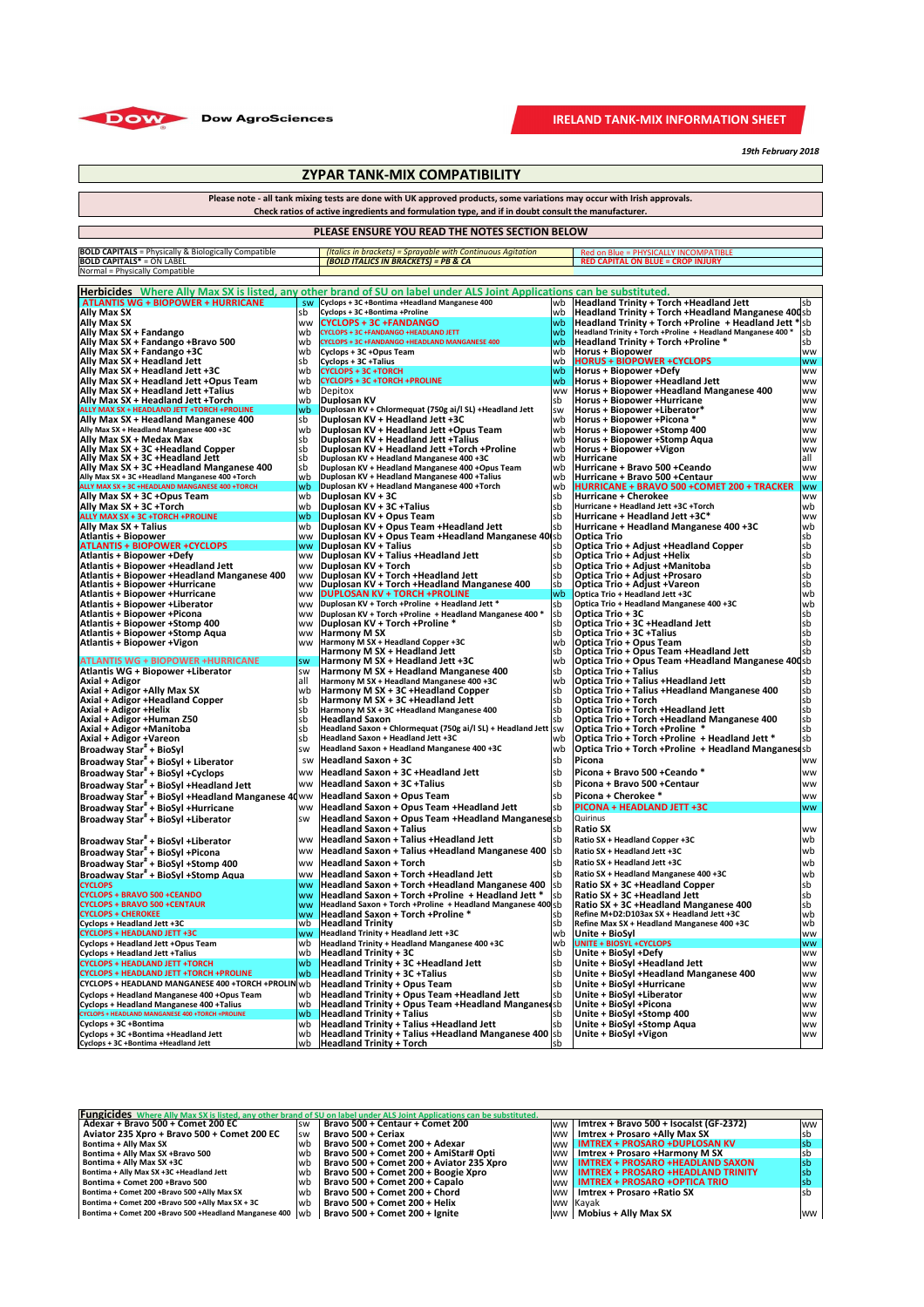| Herbicides Where Ally Max SX is listed, any other brand of SU on label under ALS Joint Applications can be substituted. |                        |                                                                                                              |             |                                                                                    |                        |  |
|-------------------------------------------------------------------------------------------------------------------------|------------------------|--------------------------------------------------------------------------------------------------------------|-------------|------------------------------------------------------------------------------------|------------------------|--|
| <b>ATLANTIS WG + BIOPOWER + HURRICANE</b>                                                                               | SW                     | Cyclops + 3C +Bontima +Headland Manganese 400                                                                | lwb         | <b>Headland Trinity + Torch + Headland Jett</b>                                    | sb                     |  |
| Ally Max SX                                                                                                             | sb                     | Cyclops + 3C +Bontima +Proline                                                                               | lwb         | <b>Headland Trinity + Torch + Headland Manganese 400sb</b>                         |                        |  |
| <b>Ally Max SX</b>                                                                                                      | ww                     | <b>CYCLOPS + 3C +FANDANGO</b>                                                                                | wb          | Headland Trinity + Torch + Proline + Headland Jett $*$ sb                          |                        |  |
| Ally Max SX + Fandango                                                                                                  | lwb                    | <b>CYCLOPS + 3C +FANDANGO +HEADLAND JETT</b>                                                                 | wb          | Headland Trinity + Torch + Proline + Headland Manganese 400 *                      | lsb                    |  |
| Ally Max SX + Fandango +Bravo 500                                                                                       | lwb                    | CYCLOPS + 3C +FANDANGO +HEADLAND MANGANESE 400                                                               | wb          | <b>Headland Trinity + Torch +Proline *</b>                                         | sb                     |  |
| Ally Max SX + Fandango +3C                                                                                              | lwb                    | Cyclops + 3C +Opus Team                                                                                      | wb          | <b>Horus + Biopower</b><br><b>HORUS + BIOPOWER +CYCLOPS</b>                        | <b>WW</b>              |  |
| Ally Max SX + Headland Jett<br>Ally Max SX + Headland Jett +3C                                                          | lsb<br>lwb             | Cyclops + 3C + Talius<br><b>CYCLOPS + 3C +TORCH</b>                                                          | lwb<br>wb   | <b>Horus + Biopower +Defy</b>                                                      | <b>WW</b><br><b>WW</b> |  |
| <b>Ally Max SX + Headland Jett +Opus Team</b>                                                                           | lwb                    | <b>CYCLOPS + 3C +TORCH +PROLINE</b>                                                                          | wb          | Horus + Biopower +Headland Jett                                                    | <b>WW</b>              |  |
| Ally Max SX + Headland Jett +Talius                                                                                     | lwb                    | <b>Depitox</b>                                                                                               | <b>WW</b>   | Horus + Biopower + Headland Manganese 400                                          | <b>ww</b>              |  |
| Ally Max SX + Headland Jett +Torch                                                                                      | lwb                    | Duplosan KV                                                                                                  | lsb         | <b>Horus + Biopower +Hurricane</b>                                                 | <b>WW</b>              |  |
| <b>ALLY MAX SX + HEADLAND JETT +TORCH +PROLINE</b>                                                                      | lwb                    | Duplosan KV + Chlormequat (750g ai/l SL) + Headland Jett                                                     | <b>SW</b>   | Horus + Biopower + Liberator*                                                      | <b>WW</b>              |  |
| <b>Ally Max SX + Headland Manganese 400</b>                                                                             | sb                     | Duplosan KV + Headland Jett +3C                                                                              | lwb         | Horus + Biopower + Picona *                                                        | <b>WW</b>              |  |
| Ally Max SX + Headland Manganese 400 +3C                                                                                | lwb                    | Duplosan KV + Headland Jett +Opus Team                                                                       | lwb         | Horus + Biopower + Stomp 400                                                       | <b>WW</b>              |  |
| Ally Max SX + Medax Max<br>Ally Max SX + 3C +Headland Copper                                                            | lsb<br>lsb             | Duplosan KV + Headland Jett + Talius<br>Duplosan KV + Headland Jett +Torch +Proline                          | lwb<br>lwb  | Horus + Biopower + Stomp Aqua<br>Horus + Biopower +Vigon                           | <b>WW</b><br><b>WW</b> |  |
| Ally Max SX + 3C +Headland Jett                                                                                         | sb                     | Duplosan KV + Headland Manganese 400 +3C                                                                     | lwb         | <b>Hurricane</b>                                                                   | all                    |  |
| Ally Max SX + 3C +Headland Manganese 400                                                                                | sb                     | Duplosan KV + Headland Manganese 400 +Opus Team                                                              | lwb         | Hurricane + Bravo 500 +Ceando                                                      | ww                     |  |
| Ally Max SX + 3C +Headland Manganese 400 +Torch                                                                         | wb                     | Duplosan KV + Headland Manganese 400 + Talius                                                                | lwb         | Hurricane + Bravo 500 +Centaur                                                     | <b>WW</b>              |  |
| ALLY MAX SX + 3C +HEADLAND MANGANESE 400 +TORCH                                                                         | lwb                    | Duplosan KV + Headland Manganese 400 +Torch                                                                  | lwb         | <b>HURRICANE + BRAVO 500 +COMET 200 + TRACKER</b>                                  | lww                    |  |
| Ally Max SX + 3C +Opus Team                                                                                             | wb                     | Duplosan KV + 3C                                                                                             | lsb         | Hurricane + Cherokee<br>Hurricane + Headland Jett +3C +Torch                       | <b>WW</b>              |  |
| Ally Max SX + 3C +Torch<br><b>ALLY MAX SX + 3C +TORCH +PROLINE</b>                                                      | lwb<br><b>wb</b>       | Duplosan KV + 3C + Talius<br>Duplosan KV + Opus Team                                                         | lsb<br>lsb  | Hurricane + Headland Jett +3C*                                                     | wb<br><b>WW</b>        |  |
| <b>Ally Max SX + Talius</b>                                                                                             | wb                     | Duplosan KV + Opus Team + Headland Jett                                                                      | lsb         | Hurricane + Headland Manganese 400 +3C                                             | wb                     |  |
| <b>Atlantis + Biopower</b>                                                                                              | <b>WW</b>              | Duplosan KV + Opus Team + Headland Manganese 40 sb                                                           |             | <b>Optica Trio</b>                                                                 | sb                     |  |
| <b>ATLANTIS + BIOPOWER +CYCLOPS</b>                                                                                     | <b>WW</b>              | Duplosan KV + Talius                                                                                         | lsb         | <b>Optica Trio + Adjust +Headland Copper</b>                                       | sb                     |  |
| <b>Atlantis + Biopower +Defy</b>                                                                                        | <b>WW</b>              | Duplosan KV + Talius +Headland Jett                                                                          | sb          | Optica Trio + Adjust +Helix                                                        | sb                     |  |
| Atlantis + Biopower +Headland Jett                                                                                      | <b>WW</b>              | <b>Duplosan KV + Torch</b>                                                                                   | lsb         | Optica Trio + Adjust + Manitoba                                                    | sb                     |  |
| Atlantis + Biopower +Headland Manganese 400<br>Atlantis + Biopower +Hurricane                                           | <b>WW</b><br><b>WW</b> | Duplosan KV + Torch + Headland Jett<br>Duplosan KV + Torch + Headland Manganese 400                          | sb<br>sb    | <b>Optica Trio + Adjust +Prosaro</b><br> Optica Trio + Adjust +Vareon              | sb<br>sb               |  |
| <b>Atlantis + Biopower + Hurricane</b>                                                                                  | <b>WW</b>              | <b>DUPLOSAN KV + TORCH +PROLINE</b>                                                                          | wb          | Optica Trio + Headland Jett +3C                                                    | wb                     |  |
| Atlantis + Biopower + Liberator                                                                                         | <b>WW</b>              | Duplosan KV + Torch + Proline + Headland Jett *                                                              | sb          | Optica Trio + Headland Manganese 400 +3C                                           | wb                     |  |
| Atlantis + Biopower + Picona                                                                                            | <b>Iww</b>             | Duplosan KV + Torch + Proline + Headland Manganese 400 *                                                     | Isb         | <b>Optica Trio + 3C</b>                                                            | lsb                    |  |
| Atlantis + Biopower + Stomp 400                                                                                         | <b>WW</b>              | Duplosan KV + Torch +Proline *                                                                               | lsb         | Optica Trio + 3C +Headland Jett                                                    | sb                     |  |
| Atlantis + Biopower + Stomp Aqua                                                                                        | <b>WW</b>              | <b>Harmony M SX</b>                                                                                          | lsb         | <b>Optica Trio + 3C + Talius</b>                                                   | sb                     |  |
| Atlantis + Biopower + Vigon                                                                                             | <b>WW</b>              | Harmony M SX + Headland Copper +3C<br>Harmony M SX + Headland Jett                                           | lwb<br>lsb  | <b>Optica Trio + Opus Team</b><br><b>Optica Trio + Opus Team + Headland Jett</b>   |                        |  |
| <b>ATLANTIS WG + BIOPOWER +HURRICANE</b>                                                                                | <b>SW</b>              | Harmony M SX + Headland Jett +3C                                                                             | l wb        | <b>Optica Trio + Opus Team +Headland Manganese 400sb</b>                           |                        |  |
| Atlantis WG + Biopower + Liberator                                                                                      | <b>SW</b>              | Harmony M SX + Headland Manganese 400                                                                        | lsb         | <b>Optica Trio + Talius</b>                                                        | sb                     |  |
| Axial + Adigor                                                                                                          | all                    | Harmony M SX + Headland Manganese 400 +3C                                                                    | lwb         | <b>Optica Trio + Talius + Headland Jett</b>                                        | sb                     |  |
| Axial + Adigor +Ally Max SX <br>Axial + Adigor +Headland Copper                                                         | lwb<br>lsb             | Harmony M SX + 3C + Headland Copper<br>Harmony M SX + 3C + Headland Jett                                     | lsb<br>lsb  | <b>Optica Trio + Talius + Headland Manganese 400</b><br><b>Optica Trio + Torch</b> | sb<br>sb               |  |
| Axial + Adigor +Helix                                                                                                   | lsb                    | Harmony M SX + 3C +Headland Manganese 400                                                                    | lsb         | <b>Optica Trio + Torch + Headland Jett</b>                                         | sb                     |  |
| Axial + Adigor +Human Z50                                                                                               | lsb                    | <b>Headland Saxon</b>                                                                                        | lsb         | <b>Optica Trio + Torch + Headland Manganese 400</b>                                | sb                     |  |
| Axial + Adigor +Manitoba                                                                                                | lsb                    | Headland Saxon + Chlormequat (750g ai/l SL) + Headland Jett   SW                                             |             | Optica Trio + Torch + Proline *                                                    | sb                     |  |
| Axial + Adigor +Vareon                                                                                                  | lsb                    | Headland Saxon + Headland Jett +3C                                                                           | l wb        | Optica Trio + Torch + Proline + Headland Jett $*$                                  | sb                     |  |
| Broadway Star <sup>#</sup> + BioSyl                                                                                     | <b>SW</b>              | Headland Saxon + Headland Manganese 400 +3C                                                                  | lwb         | <b>Optica Trio + Torch + Proline + Headland Manganes (sb)</b>                      |                        |  |
| Broadway Star <sup>#</sup> + BioSyl + Liberator                                                                         | SW                     | <b>Headland Saxon + 3C</b>                                                                                   | lsb         | <b>Picona</b>                                                                      | <b>WW</b>              |  |
| Broadway Star <sup>#</sup> + BioSyl +Cyclops                                                                            | <b>WW</b>              | <b>Headland Saxon + 3C +Headland Jett</b>                                                                    | lsb         | Picona + Bravo 500 + Ceando *                                                      | <b>WW</b>              |  |
| Broadway Star <sup>#</sup> + BioSyl +Headland Jett                                                                      |                        | ww  Headland Saxon + 3C +Talius                                                                              | lsb         | Picona + Bravo 500 + Centaur                                                       | <b>WW</b>              |  |
| Broadway Star" + BioSyl +Headland Manganese 40 WW                                                                       |                        | <b>Headland Saxon + Opus Team</b>                                                                            | lsb         | Picona + Cherokee *                                                                | <b>WW</b>              |  |
| Broadway Star" + BioSyl +Hurricane                                                                                      | <b>WW</b>              | Headland Saxon + Opus Team + Headland Jett                                                                   | lsb         | <b>PICONA + HEADLAND JETT +3C</b>                                                  | <b>WW</b>              |  |
| Broadway Star" + BioSyl +Liberator                                                                                      | <b>SW</b>              | Headland Saxon + Opus Team + Headland Manganeses<br><b>Headland Saxon + Talius</b>                           | lsb         | <b>Quirinus</b><br><b>Ratio SX</b>                                                 |                        |  |
| Broadway Star <sup>"</sup> + BioSyl +Liberator                                                                          |                        | ww   Headland Saxon + Talius + Headland Jett                                                                 | lsb         | <b>Ratio SX + Headland Copper +3C</b>                                              | <b>WW</b><br>l wb      |  |
| Broadway Star" + BioSyl +Picona                                                                                         | <b>WW</b>              | Headland Saxon + Talius +Headland Manganese 400                                                              | lsb         | Ratio SX + Headland Jett +3C                                                       | wb                     |  |
| Broadway Star $#$ + BioSyl +Stomp 400                                                                                   | <b>WW</b>              | <b>Headland Saxon + Torch</b>                                                                                | lsb         | <b>Ratio SX + Headland Jett +3C</b>                                                | wb                     |  |
| Broadway Star <sup>"</sup> + BioSyl +Stomp Aqua                                                                         | <b>WW</b>              | <b>Headland Saxon + Torch + Headland Jett</b>                                                                | lsb         | Ratio SX + Headland Manganese 400 +3C                                              | wb                     |  |
| <b>CYCLOPS</b>                                                                                                          | <b>WW</b>              | Headland Saxon + Torch + Headland Manganese 400  sb                                                          |             | <b>Ratio SX + 3C +Headland Copper</b>                                              | sb                     |  |
| <b>CYCLOPS + BRAVO 500 +CEANDO</b>                                                                                      | <b>WW</b>              | Headland Saxon + Torch + Proline + Headland Jett *                                                           | <b>Isb</b>  | <b>Ratio SX + 3C +Headland Jett</b>                                                | sb                     |  |
| <b>CYCLOPS + BRAVO 500 +CENTAUR</b>                                                                                     | <b>WW</b>              | Headland Saxon + Torch + Proline + Headland Manganese 400 sb                                                 |             | Ratio SX + 3C +Headland Manganese 400                                              | sb                     |  |
| <b>CYCLOPS + CHEROKEE</b>                                                                                               | <b>WW</b>              | <b>Headland Saxon + Torch + Proline *</b>                                                                    | sb          | Refine M+D2:D103ax SX + Headland Jett +3C                                          | wb                     |  |
| Cyclops + Headland Jett +3C<br><b>CYCLOPS + HEADLAND JETT +3C</b>                                                       | lwb<br><b>WW</b>       | <b>Headland Trinity</b><br>Headland Trinity + Headland Jett +3C                                              | lsb<br>l wb | Refine Max SX + Headland Manganese 400 +3C<br>Unite + BioSyl                       | wb<br><b>WW</b>        |  |
| Cyclops + Headland Jett +Opus Team                                                                                      | lwb.                   | Headland Trinity + Headland Manganese 400 +3C                                                                | lwb         | <b>UNITE + BIOSYL +CYCLOPS</b>                                                     | <b>WW</b>              |  |
| Cyclops + Headland Jett + Talius                                                                                        | wb                     | <b>Headland Trinity + 3C</b>                                                                                 | sb          | Unite + BioSyl +Defy                                                               | <b>WW</b>              |  |
| <b>CYCLOPS + HEADLAND JETT +TORCH</b>                                                                                   | lwb                    | Headland Trinity + 3C + Headland Jett                                                                        | lsb         | Unite + BioSyl +Headland Jett                                                      | <b>WW</b>              |  |
| <b>CYCLOPS + HEADLAND JETT +TORCH +PROLINE</b>                                                                          | wb                     | <b>Headland Trinity + 3C + Talius</b>                                                                        | lsb         | Unite + BioSyl +Headland Manganese 400                                             | <b>WW</b>              |  |
| CYCLOPS + HEADLAND MANGANESE 400 +TORCH +PROLIN wb                                                                      |                        | <b>Headland Trinity + Opus Team</b>                                                                          | lsb         | Unite + BioSyl + Hurricane                                                         | <b>WW</b>              |  |
| Cyclops + Headland Manganese 400 +Opus Team<br>Cyclops + Headland Manganese 400 + Talius                                | lwb                    | <b>Headland Trinity + Opus Team + Headland Jett</b><br>Headland Trinity + Opus Team + Headland Manganes (sb) | lsb         | Unite + BioSyl +Liberator<br>Unite + BioSyl + Picona                               | <b>WW</b>              |  |
| <b>CYCLOPS + HEADLAND MANGANESE 400 +TORCH +PROLINE</b>                                                                 | lwb.<br> wb            | <b>Headland Trinity + Talius</b>                                                                             | ISD         | Unite + BioSyl +Stomp 400                                                          | <b>WW</b><br><b>WW</b> |  |
| Cyclops + 3C + Bontima                                                                                                  | lwb                    | <b>Headland Trinity + Talius + Headland Jett</b>                                                             | lsb         | Unite + BioSyl +Stomp Aqua                                                         | <b>WW</b>              |  |
| Cyclops + 3C +Bontima +Headland Jett                                                                                    | lwb                    | Headland Trinity + Talius +Headland Manganese 400   sb                                                       |             | Unite + BioSyl + Vigon                                                             | <b>WW</b>              |  |
| Cyclops + 3C +Bontima +Headland Jett                                                                                    | wb.                    | <b>Headland Trinity + Torch</b>                                                                              | lsb         |                                                                                    |                        |  |

| <b>BOLD CAPITALS</b> = Physically & Biologically Compatible | (Italics in brackets) = Sprayable with Continuous Agitation | ked⊪<br><b>CALL</b><br>PAIIB.<br>PГ.<br><b>IIVCOM</b> |
|-------------------------------------------------------------|-------------------------------------------------------------|-------------------------------------------------------|
| <b>ON LABEL</b><br><b>BOLD CAPITALS*</b>                    | (BOLD ITALICS IN BRACKETS) = PB & CA                        | `APITAL<br>L ON BLUE = CROP INJURY .                  |
| Normal = Physically Compatible                              |                                                             |                                                       |

| <b>Fungicides</b> Where Ally Max SX is listed, any other brand of SU on label under ALS Joint Applications can be substituted. |                                                               |           |                                         |                                                                                                                                                                                                                            |  |  |
|--------------------------------------------------------------------------------------------------------------------------------|---------------------------------------------------------------|-----------|-----------------------------------------|----------------------------------------------------------------------------------------------------------------------------------------------------------------------------------------------------------------------------|--|--|
| <b>SW</b>                                                                                                                      | Bravo 500 + Centaur + Comet 200                               | <b>WW</b> | Imtrex + Bravo 500 + Isocalst (GF-2372) | <b>Iww</b>                                                                                                                                                                                                                 |  |  |
| <b>ISW</b>                                                                                                                     | <b>Bravo 500 + Ceriax</b>                                     | <b>WW</b> |                                         | sb                                                                                                                                                                                                                         |  |  |
| Iwb                                                                                                                            | Bravo 500 + Comet 200 + Adexar                                | <b>WW</b> | <b>IMTREX + PROSARO +DUPLOSAN KV</b>    | <b>sb</b>                                                                                                                                                                                                                  |  |  |
| lwt                                                                                                                            | Bravo 500 + Comet 200 + AmiStar# Opti                         | <b>WW</b> |                                         | sb                                                                                                                                                                                                                         |  |  |
| ∣wŁ                                                                                                                            | Bravo 500 + Comet 200 + Aviator 235 Xpro                      | <b>WW</b> | <b>IMTREX + PROSARO +HEADLAND SAXON</b> | Isb                                                                                                                                                                                                                        |  |  |
| ∣wŁ                                                                                                                            | Bravo 500 + Comet 200 + Boogie Xpro                           | <b>WW</b> |                                         | Isb                                                                                                                                                                                                                        |  |  |
| lwb                                                                                                                            | Bravo 500 + Comet 200 + Capalo                                | <b>WW</b> |                                         | Isb                                                                                                                                                                                                                        |  |  |
| <u>Iwb</u>                                                                                                                     | Bravo 500 + Comet 200 + Chord                                 | <b>WW</b> |                                         |                                                                                                                                                                                                                            |  |  |
| Iwb                                                                                                                            | Bravo 500 + Comet 200 + Helix                                 |           |                                         |                                                                                                                                                                                                                            |  |  |
|                                                                                                                                | Bravo 500 + Comet 200 + Ignite                                | <b>WW</b> |                                         | <b>WW</b>                                                                                                                                                                                                                  |  |  |
|                                                                                                                                | Bontima + Comet 200 +Bravo 500 +Headland Manganese 400 $ wb $ |           |                                         | Imtrex + Prosaro +Ally Max SX<br>Imtrex + Prosaro + Harmony M SX<br><b>IMTREX + PROSARO +HEADLAND TRINITY</b><br><b>IMTREX + PROSARO +OPTICA TRIO</b><br>I Imtrex + Prosaro + Ratio SX<br>ww Kayak<br>Mobius + Ally Max SX |  |  |

*19th February 2018*

## **ZYPAR TANK-MIX COMPATIBILITY**

## **PLEASE ENSURE YOU READ THE NOTES SECTION BELOW**

**Please note - all tank mixing tests are done with UK approved products, some variations may occur with Irish approvals.**

**Check ratios of active ingredients and formulation type, and if in doubt consult the manufacturer.**



## **IRELAND TANK-MIX INFORMATION SHEET**